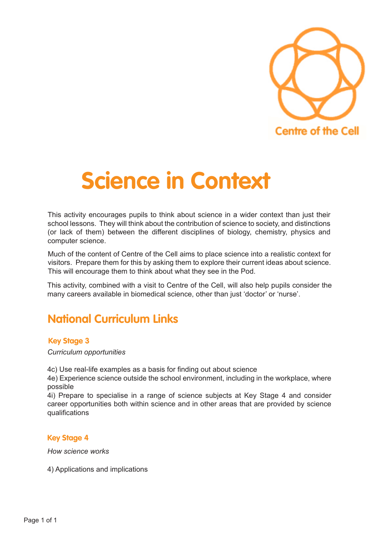

# **Science in Context**

This activity encourages pupils to think about science in a wider context than just their school lessons. They will think about the contribution of science to society, and distinctions (or lack of them) between the different disciplines of biology, chemistry, physics and computer science.

Much of the content of Centre of the Cell aims to place science into a realistic context for visitors. Prepare them for this by asking them to explore their current ideas about science. This will encourage them to think about what they see in the Pod.

This activity, combined with a visit to Centre of the Cell, will also help pupils consider the many careers available in biomedical science, other than just 'doctor' or 'nurse'.

## **National Curriculum Links**

### **Key Stage 3**

*Curriculum opportunities*

4c) Use real-life examples as a basis for finding out about science

4e) Experience science outside the school environment, including in the workplace, where possible

4i) Prepare to specialise in a range of science subjects at Key Stage 4 and consider career opportunities both within science and in other areas that are provided by science qualifications

#### **Key Stage 4**

*How science works*

4) Applications and implications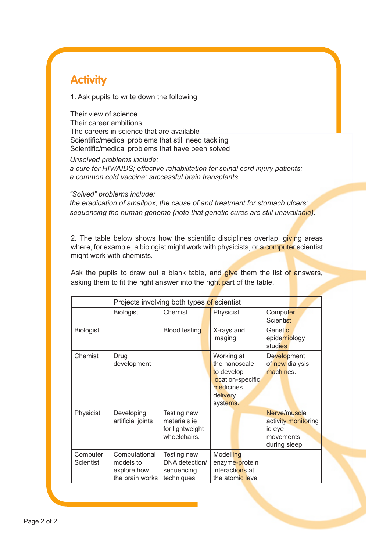## **Activity**

1. Ask pupils to write down the following:

Their view of science Their career ambitions The careers in science that are available Scientific/medical problems that still need tackling Scientific/medical problems that have been solved

*Unsolved problems include: a cure for HIV/AIDS; effective rehabilitation for spinal cord injury patients; a common cold vaccine; successful brain transplants*

*"Solved" problems include:* 

*the eradication of smallpox; the cause of and treatment for stomach ulcers; sequencing the human genome (note that genetic cures are still unavailable).*

2. The table below shows how the scientific disciplines overlap, giving areas where, for example, a biologist might work with physicists, or a computer scientist might work with chemists.

Ask the pupils to draw out a blank table, and give them the list of answers, asking them to fit the right answer into the right part of the table.

|                       | Projects involving both types of scientist                   |                                                                |                                                                                                     |                                                                            |
|-----------------------|--------------------------------------------------------------|----------------------------------------------------------------|-----------------------------------------------------------------------------------------------------|----------------------------------------------------------------------------|
|                       | <b>Biologist</b>                                             | Chemist                                                        | Physicist                                                                                           | Computer<br><b>Scientist</b>                                               |
| <b>Biologist</b>      |                                                              | <b>Blood testing</b>                                           | X-rays and<br>imaging                                                                               | Genetic<br>epidemiology<br><b>studies</b>                                  |
| Chemist               | Drug<br>development                                          |                                                                | Working at<br>the nanoscale<br>to develop<br>location-specific<br>medicines<br>delivery<br>systems. | Development<br>of new dialysis<br>machines.                                |
| Physicist             | Developing<br>artificial joints                              | Testing new<br>materials ie<br>for lightweight<br>wheelchairs. |                                                                                                     | Nerve/muscle<br>activity monitoring<br>ie eye<br>movements<br>during sleep |
| Computer<br>Scientist | Computational<br>models to<br>explore how<br>the brain works | Testing new<br>DNA detection/<br>sequencing<br>techniques      | Modelling<br>enzyme-protein<br>interactions at<br>the atomic level                                  |                                                                            |